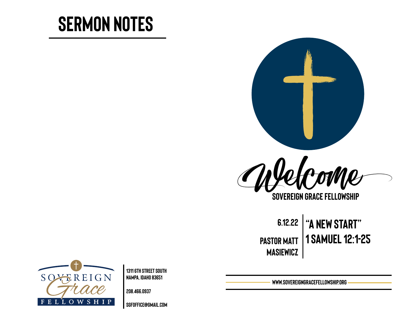# **Sermon Notes**





**Sovereign Grace Fellowship**

**6.12.22 "A NEW START" Pastor Matt 1 Samuel 12:1-25 masiewicz**

**SREIGN** SO<sub>2</sub>  $F$ OWSHI P

**1311 6th Street south Nampa, Idaho 83651** 

**208.466.0937** 

**[sgfoffice@gmail.com](mailto:sgfoffice@gmail.com)**

**www.SovereignGraceFellowship.org**